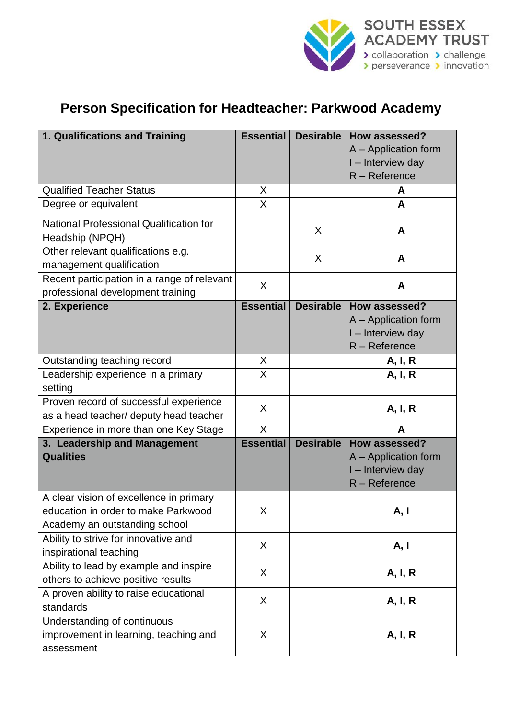

## **Person Specification for Headteacher: Parkwood Academy**

| 1. Qualifications and Training                                                   | <b>Essential</b> | Desirable        | How assessed?        |
|----------------------------------------------------------------------------------|------------------|------------------|----------------------|
|                                                                                  |                  |                  | A - Application form |
|                                                                                  |                  |                  | I - Interview day    |
|                                                                                  |                  |                  | R - Reference        |
| <b>Qualified Teacher Status</b>                                                  | X                |                  | A                    |
| Degree or equivalent                                                             | X                |                  | A                    |
| National Professional Qualification for<br>Headship (NPQH)                       |                  | X                | A                    |
| Other relevant qualifications e.g.<br>management qualification                   |                  | X                | A                    |
| Recent participation in a range of relevant<br>professional development training | X                |                  | A                    |
| 2. Experience                                                                    | <b>Essential</b> | <b>Desirable</b> | How assessed?        |
|                                                                                  |                  |                  | A - Application form |
|                                                                                  |                  |                  | I - Interview day    |
|                                                                                  |                  |                  | $R -$ Reference      |
| Outstanding teaching record                                                      | X                |                  | A, I, R              |
| Leadership experience in a primary                                               | X                |                  | A, I, R              |
| setting                                                                          |                  |                  |                      |
| Proven record of successful experience                                           | X                |                  | A, I, R              |
| as a head teacher/ deputy head teacher                                           |                  |                  |                      |
| Experience in more than one Key Stage                                            | $\sf X$          |                  | A                    |
| 3. Leadership and Management                                                     | <b>Essential</b> | Desirable        | How assessed?        |
| <b>Qualities</b>                                                                 |                  |                  | A - Application form |
|                                                                                  |                  |                  | I - Interview day    |
|                                                                                  |                  |                  | $R -$ Reference      |
| A clear vision of excellence in primary                                          |                  |                  |                      |
| education in order to make Parkwood                                              | X.               |                  | A, I                 |
| Academy an outstanding school                                                    |                  |                  |                      |
| Ability to strive for innovative and                                             | X                |                  | A, I                 |
| inspirational teaching                                                           |                  |                  |                      |
| Ability to lead by example and inspire                                           | X                |                  | A, I, R              |
| others to achieve positive results                                               |                  |                  |                      |
| A proven ability to raise educational                                            | X                |                  | A, I, R              |
| standards                                                                        |                  |                  |                      |
| Understanding of continuous                                                      |                  |                  |                      |
| improvement in learning, teaching and                                            | X                |                  | A, I, R              |
| assessment                                                                       |                  |                  |                      |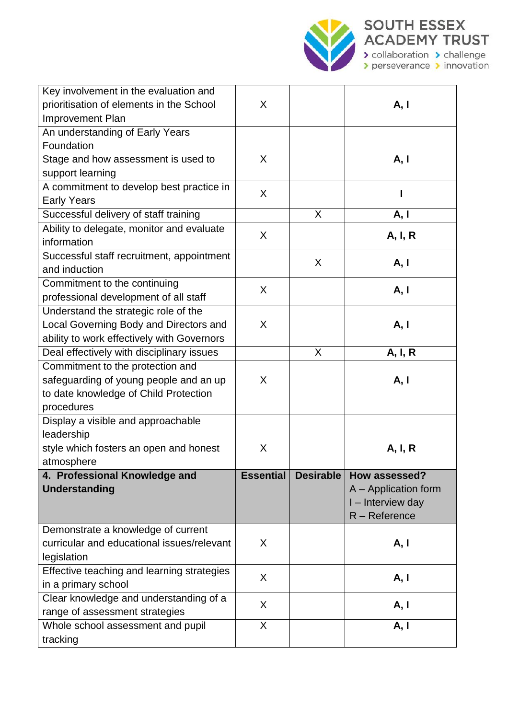

| Key involvement in the evaluation and      |                  |                  |                      |
|--------------------------------------------|------------------|------------------|----------------------|
| prioritisation of elements in the School   | X                |                  | A, I                 |
| <b>Improvement Plan</b>                    |                  |                  |                      |
| An understanding of Early Years            |                  |                  |                      |
| Foundation                                 |                  |                  |                      |
| Stage and how assessment is used to        | X                |                  | A, I                 |
| support learning                           |                  |                  |                      |
| A commitment to develop best practice in   |                  |                  |                      |
| <b>Early Years</b>                         | X                |                  |                      |
| Successful delivery of staff training      |                  | X                | A, I                 |
| Ability to delegate, monitor and evaluate  |                  |                  |                      |
| information                                | X                |                  | A, I, R              |
| Successful staff recruitment, appointment  |                  | X                |                      |
| and induction                              |                  |                  | A, I                 |
| Commitment to the continuing               | X                |                  | A, I                 |
| professional development of all staff      |                  |                  |                      |
| Understand the strategic role of the       |                  |                  |                      |
| Local Governing Body and Directors and     | X                |                  | A, I                 |
| ability to work effectively with Governors |                  |                  |                      |
| Deal effectively with disciplinary issues  |                  | X                | A, I, R              |
| Commitment to the protection and           |                  |                  |                      |
| safeguarding of young people and an up     | X                |                  | A, I                 |
| to date knowledge of Child Protection      |                  |                  |                      |
| procedures                                 |                  |                  |                      |
| Display a visible and approachable         |                  |                  |                      |
| leadership                                 |                  |                  |                      |
| style which fosters an open and honest     | Χ                |                  | A, I, R              |
| atmosphere                                 |                  |                  |                      |
| 4. Professional Knowledge and              | <b>Essential</b> | <b>Desirable</b> | How assessed?        |
| <b>Understanding</b>                       |                  |                  | A - Application form |
|                                            |                  |                  | I - Interview day    |
|                                            |                  |                  | $R -$ Reference      |
| Demonstrate a knowledge of current         |                  |                  |                      |
| curricular and educational issues/relevant | X                |                  | A, I                 |
| legislation                                |                  |                  |                      |
| Effective teaching and learning strategies | X                |                  | A, I                 |
| in a primary school                        |                  |                  |                      |
| Clear knowledge and understanding of a     | X                |                  | A, I                 |
| range of assessment strategies             |                  |                  |                      |
| Whole school assessment and pupil          | X                |                  | A, I                 |
| tracking                                   |                  |                  |                      |